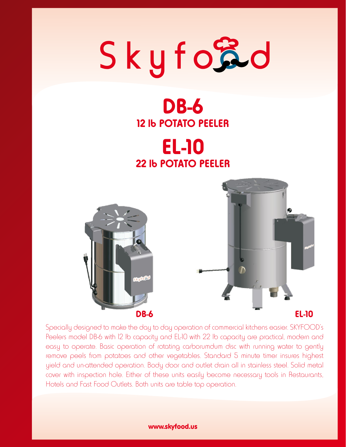## Skyford

## **DB-6 12 lb POTATO PEELER**

## **EL-10 22 lb POTATO PEELER**





Specially designed to make the day to day operation of commercial kitchens easier. SKYFOOD's Peelers model DB-6 with 12 lb capacity and EL-10 with 22 lb capacity are practical, modern and easy to operate. Basic operation of rotating carborumdum disc with running water to gently remove peels from potatoes and other vegetables. Standard 5 minute timer insures highest yield and un-attended operation. Body door and outlet drain all in stainless steel. Solid metal cover with inspection hole. Either of these units easily become necessary tools in Restaurants, Hotels and Fast Food Outlets. Both units are table top operation.

#### www.skyfood.us